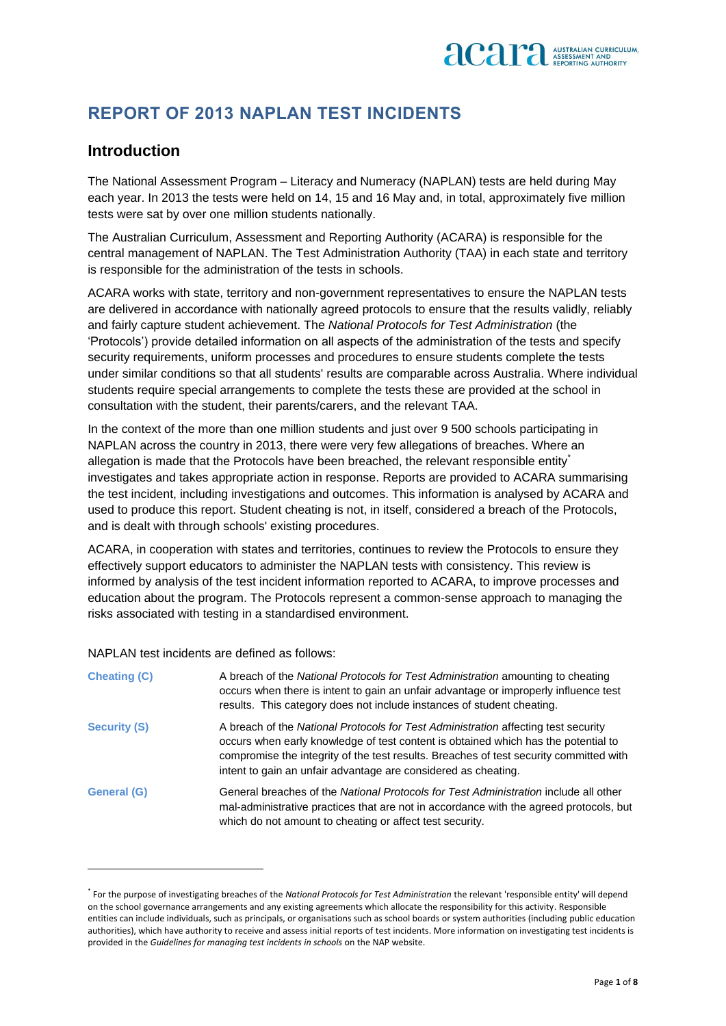

## **REPORT OF 2013 NAPLAN TEST INCIDENTS**

## **Introduction**

The National Assessment Program – Literacy and Numeracy (NAPLAN) tests are held during May each year. In 2013 the tests were held on 14, 15 and 16 May and, in total, approximately five million tests were sat by over one million students nationally.

The Australian Curriculum, Assessment and Reporting Authority (ACARA) is responsible for the central management of NAPLAN. The Test Administration Authority (TAA) in each state and territory is responsible for the administration of the tests in schools.

ACARA works with state, territory and non-government representatives to ensure the NAPLAN tests are delivered in accordance with nationally agreed protocols to ensure that the results validly, reliably and fairly capture student achievement. The *National Protocols for Test Administration* (the 'Protocols') provide detailed information on all aspects of the administration of the tests and specify security requirements, uniform processes and procedures to ensure students complete the tests under similar conditions so that all students' results are comparable across Australia. Where individual students require special arrangements to complete the tests these are provided at the school in consultation with the student, their parents/carers, and the relevant TAA.

In the context of the more than one million students and just over 9 500 schools participating in NAPLAN across the country in 2013, there were very few allegations of breaches. Where an allegation is made that the Protocols have been breached, the relevant responsible entity\* investigates and takes appropriate action in response. Reports are provided to ACARA summarising the test incident, including investigations and outcomes. This information is analysed by ACARA and used to produce this report. Student cheating is not, in itself, considered a breach of the Protocols, and is dealt with through schools' existing procedures.

ACARA, in cooperation with states and territories, continues to review the Protocols to ensure they effectively support educators to administer the NAPLAN tests with consistency. This review is informed by analysis of the test incident information reported to ACARA, to improve processes and education about the program. The Protocols represent a common-sense approach to managing the risks associated with testing in a standardised environment.

NAPLAN test incidents are defined as follows:

1

| <b>Cheating (C)</b> | A breach of the National Protocols for Test Administration amounting to cheating<br>occurs when there is intent to gain an unfair advantage or improperly influence test<br>results. This category does not include instances of student cheating.                                                                                   |
|---------------------|--------------------------------------------------------------------------------------------------------------------------------------------------------------------------------------------------------------------------------------------------------------------------------------------------------------------------------------|
| <b>Security (S)</b> | A breach of the National Protocols for Test Administration affecting test security<br>occurs when early knowledge of test content is obtained which has the potential to<br>compromise the integrity of the test results. Breaches of test security committed with<br>intent to gain an unfair advantage are considered as cheating. |
| <b>General (G)</b>  | General breaches of the National Protocols for Test Administration include all other<br>mal-administrative practices that are not in accordance with the agreed protocols, but<br>which do not amount to cheating or affect test security.                                                                                           |

<sup>\*</sup> For the purpose of investigating breaches of the *National Protocols for Test Administration* the relevant 'responsible entity' will depend on the school governance arrangements and any existing agreements which allocate the responsibility for this activity. Responsible entities can include individuals, such as principals, or organisations such as school boards or system authorities (including public education authorities), which have authority to receive and assess initial reports of test incidents. More information on investigating test incidents is provided in the *Guidelines for managing test incidents in schools* on the NAP website.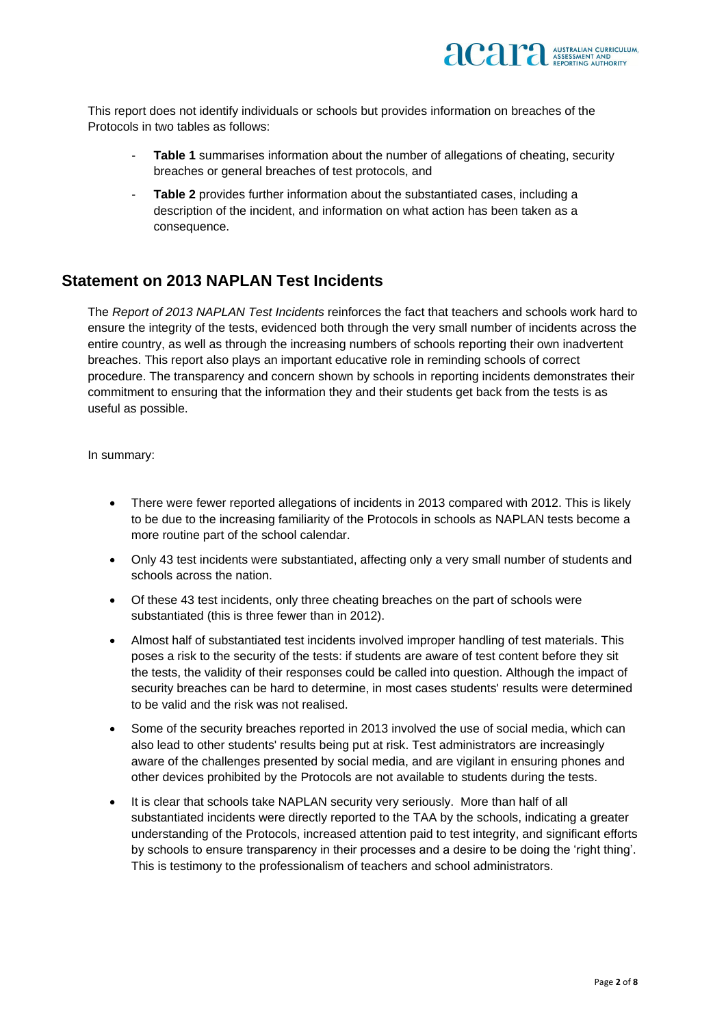

This report does not identify individuals or schools but provides information on breaches of the Protocols in two tables as follows:

- **Table 1** summarises information about the number of allegations of cheating, security breaches or general breaches of test protocols, and
- **Table 2** provides further information about the substantiated cases, including a description of the incident, and information on what action has been taken as a consequence.

## **Statement on 2013 NAPLAN Test Incidents**

The *Report of 2013 NAPLAN Test Incidents* reinforces the fact that teachers and schools work hard to ensure the integrity of the tests, evidenced both through the very small number of incidents across the entire country, as well as through the increasing numbers of schools reporting their own inadvertent breaches. This report also plays an important educative role in reminding schools of correct procedure. The transparency and concern shown by schools in reporting incidents demonstrates their commitment to ensuring that the information they and their students get back from the tests is as useful as possible.

In summary:

- There were fewer reported allegations of incidents in 2013 compared with 2012. This is likely to be due to the increasing familiarity of the Protocols in schools as NAPLAN tests become a more routine part of the school calendar.
- Only 43 test incidents were substantiated, affecting only a very small number of students and schools across the nation.
- Of these 43 test incidents, only three cheating breaches on the part of schools were substantiated (this is three fewer than in 2012).
- Almost half of substantiated test incidents involved improper handling of test materials. This poses a risk to the security of the tests: if students are aware of test content before they sit the tests, the validity of their responses could be called into question. Although the impact of security breaches can be hard to determine, in most cases students' results were determined to be valid and the risk was not realised.
- Some of the security breaches reported in 2013 involved the use of social media, which can also lead to other students' results being put at risk. Test administrators are increasingly aware of the challenges presented by social media, and are vigilant in ensuring phones and other devices prohibited by the Protocols are not available to students during the tests.
- It is clear that schools take NAPLAN security very seriously. More than half of all substantiated incidents were directly reported to the TAA by the schools, indicating a greater understanding of the Protocols, increased attention paid to test integrity, and significant efforts by schools to ensure transparency in their processes and a desire to be doing the 'right thing'. This is testimony to the professionalism of teachers and school administrators.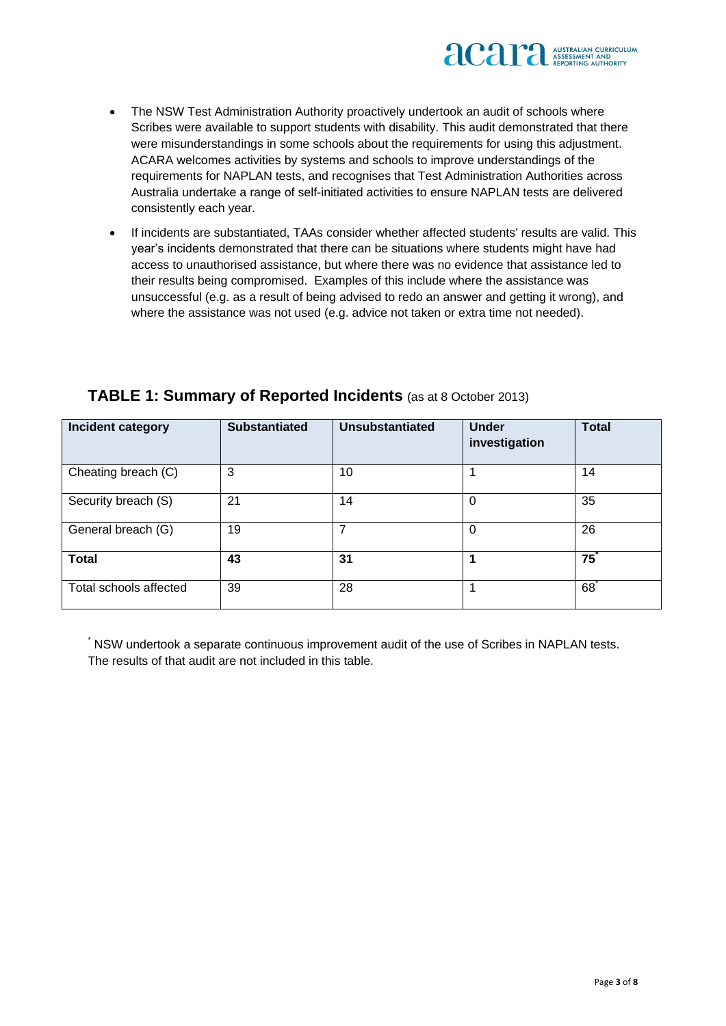

- The NSW Test Administration Authority proactively undertook an audit of schools where Scribes were available to support students with disability. This audit demonstrated that there were misunderstandings in some schools about the requirements for using this adjustment. ACARA welcomes activities by systems and schools to improve understandings of the requirements for NAPLAN tests, and recognises that Test Administration Authorities across Australia undertake a range of self-initiated activities to ensure NAPLAN tests are delivered consistently each year.
- If incidents are substantiated, TAAs consider whether affected students' results are valid. This year's incidents demonstrated that there can be situations where students might have had access to unauthorised assistance, but where there was no evidence that assistance led to their results being compromised. Examples of this include where the assistance was unsuccessful (e.g. as a result of being advised to redo an answer and getting it wrong), and where the assistance was not used (e.g. advice not taken or extra time not needed).

| Incident category      | <b>Substantiated</b> | <b>Unsubstantiated</b> | <b>Under</b><br>investigation | <b>Total</b>   |
|------------------------|----------------------|------------------------|-------------------------------|----------------|
| Cheating breach (C)    | 3                    | 10                     |                               | 14             |
| Security breach (S)    | 21                   | 14                     | 0                             | 35             |
| General breach (G)     | 19                   | 7                      | 0                             | 26             |
| <b>Total</b>           | 43                   | 31                     |                               | $75^\degree$   |
| Total schools affected | 39                   | 28                     |                               | $68^{\degree}$ |

## **TABLE 1: Summary of Reported Incidents** (as at 8 October 2013)

\* NSW undertook a separate continuous improvement audit of the use of Scribes in NAPLAN tests. The results of that audit are not included in this table.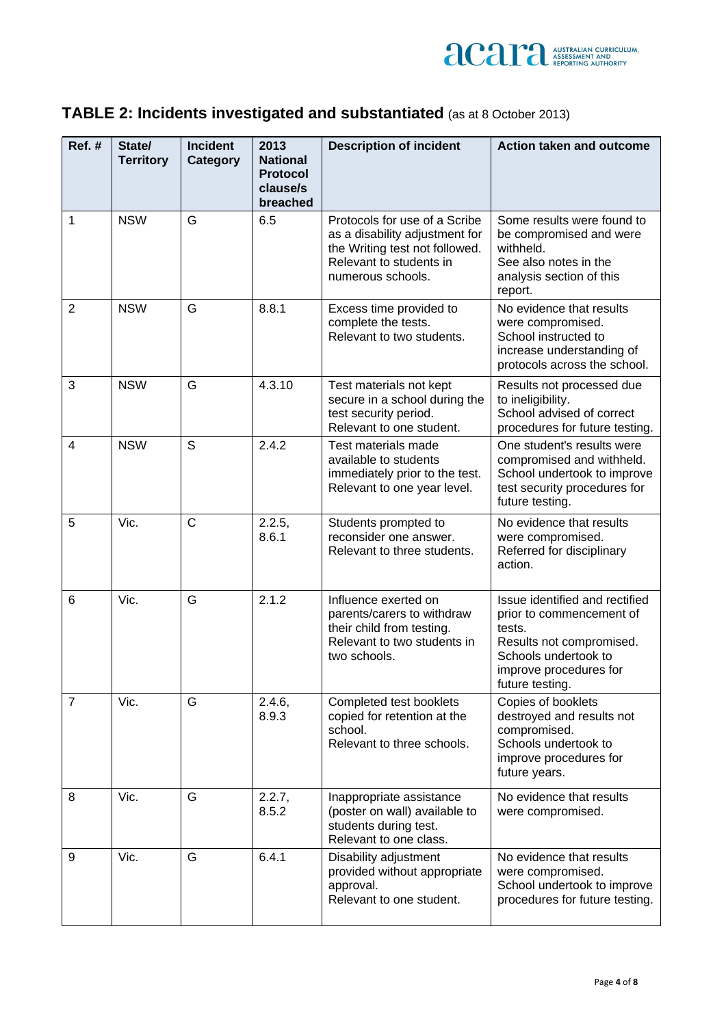

| TABLE 2: Incidents investigated and substantiated (as at 8 October 2013) |  |
|--------------------------------------------------------------------------|--|
|--------------------------------------------------------------------------|--|

| $Ref.$ #       | State/<br><b>Territory</b> | <b>Incident</b><br>Category | 2013<br><b>National</b><br><b>Protocol</b><br>clause/s<br>breached | <b>Description of incident</b>                                                                                                                    | <b>Action taken and outcome</b>                                                                                                                                       |
|----------------|----------------------------|-----------------------------|--------------------------------------------------------------------|---------------------------------------------------------------------------------------------------------------------------------------------------|-----------------------------------------------------------------------------------------------------------------------------------------------------------------------|
| 1              | <b>NSW</b>                 | G                           | 6.5                                                                | Protocols for use of a Scribe<br>as a disability adjustment for<br>the Writing test not followed.<br>Relevant to students in<br>numerous schools. | Some results were found to<br>be compromised and were<br>withheld.<br>See also notes in the<br>analysis section of this<br>report.                                    |
| $\overline{2}$ | <b>NSW</b>                 | G                           | 8.8.1                                                              | Excess time provided to<br>complete the tests.<br>Relevant to two students.                                                                       | No evidence that results<br>were compromised.<br>School instructed to<br>increase understanding of<br>protocols across the school.                                    |
| 3              | <b>NSW</b>                 | G                           | 4.3.10                                                             | Test materials not kept<br>secure in a school during the<br>test security period.<br>Relevant to one student.                                     | Results not processed due<br>to ineligibility.<br>School advised of correct<br>procedures for future testing.                                                         |
| 4              | <b>NSW</b>                 | S                           | 2.4.2                                                              | Test materials made<br>available to students<br>immediately prior to the test.<br>Relevant to one year level.                                     | One student's results were<br>compromised and withheld.<br>School undertook to improve<br>test security procedures for<br>future testing.                             |
| 5              | Vic.                       | $\mathsf{C}$                | 2.2.5,<br>8.6.1                                                    | Students prompted to<br>reconsider one answer.<br>Relevant to three students.                                                                     | No evidence that results<br>were compromised.<br>Referred for disciplinary<br>action.                                                                                 |
| 6              | Vic.                       | G                           | 2.1.2                                                              | Influence exerted on<br>parents/carers to withdraw<br>their child from testing.<br>Relevant to two students in<br>two schools.                    | Issue identified and rectified<br>prior to commencement of<br>tests.<br>Results not compromised.<br>Schools undertook to<br>improve procedures for<br>future testing. |
| $\overline{7}$ | Vic.                       | G                           | 2.4.6,<br>8.9.3                                                    | Completed test booklets<br>copied for retention at the<br>school.<br>Relevant to three schools.                                                   | Copies of booklets<br>destroyed and results not<br>compromised.<br>Schools undertook to<br>improve procedures for<br>future years.                                    |
| 8              | Vic.                       | G                           | 2.2.7,<br>8.5.2                                                    | Inappropriate assistance<br>(poster on wall) available to<br>students during test.<br>Relevant to one class.                                      | No evidence that results<br>were compromised.                                                                                                                         |
| 9              | Vic.                       | G                           | 6.4.1                                                              | Disability adjustment<br>provided without appropriate<br>approval.<br>Relevant to one student.                                                    | No evidence that results<br>were compromised.<br>School undertook to improve<br>procedures for future testing.                                                        |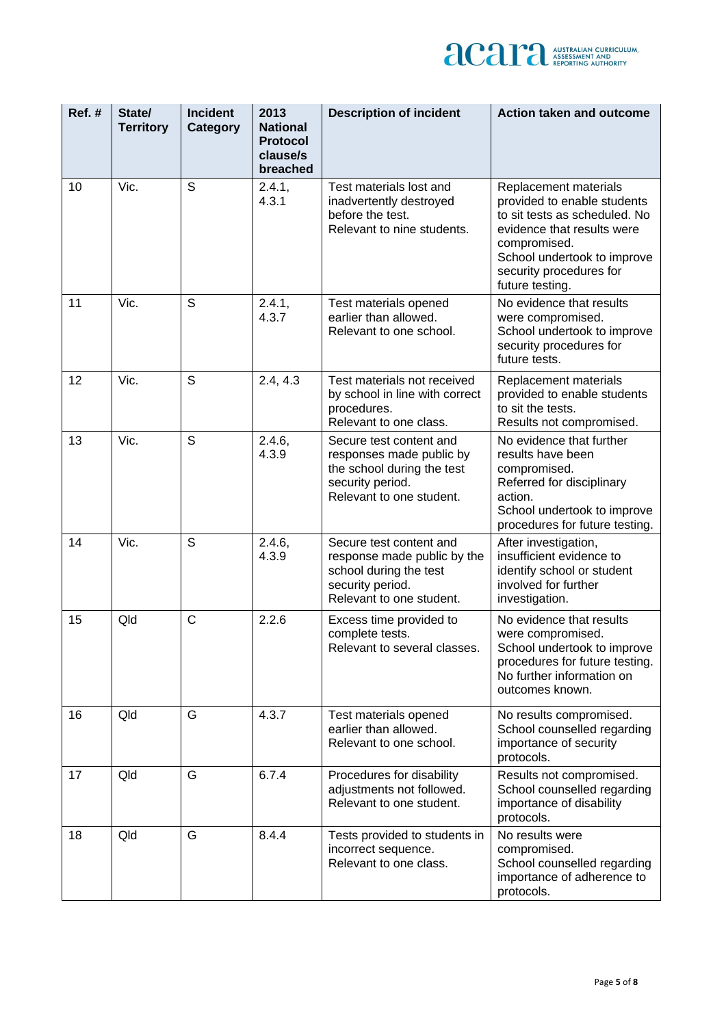

| Ref.# | State/<br><b>Territory</b> | <b>Incident</b><br><b>Category</b> | 2013<br><b>National</b><br><b>Protocol</b><br>clause/s<br>breached | <b>Description of incident</b>                                                                                                    | <b>Action taken and outcome</b>                                                                                                                                                                                  |
|-------|----------------------------|------------------------------------|--------------------------------------------------------------------|-----------------------------------------------------------------------------------------------------------------------------------|------------------------------------------------------------------------------------------------------------------------------------------------------------------------------------------------------------------|
| 10    | Vic.                       | S                                  | 2.4.1,<br>4.3.1                                                    | Test materials lost and<br>inadvertently destroyed<br>before the test.<br>Relevant to nine students.                              | Replacement materials<br>provided to enable students<br>to sit tests as scheduled. No<br>evidence that results were<br>compromised.<br>School undertook to improve<br>security procedures for<br>future testing. |
| 11    | Vic.                       | $\mathsf S$                        | 2.4.1,<br>4.3.7                                                    | Test materials opened<br>earlier than allowed.<br>Relevant to one school.                                                         | No evidence that results<br>were compromised.<br>School undertook to improve<br>security procedures for<br>future tests.                                                                                         |
| 12    | Vic.                       | S                                  | 2.4, 4.3                                                           | Test materials not received<br>by school in line with correct<br>procedures.<br>Relevant to one class.                            | Replacement materials<br>provided to enable students<br>to sit the tests.<br>Results not compromised.                                                                                                            |
| 13    | Vic.                       | S                                  | 2.4.6,<br>4.3.9                                                    | Secure test content and<br>responses made public by<br>the school during the test<br>security period.<br>Relevant to one student. | No evidence that further<br>results have been<br>compromised.<br>Referred for disciplinary<br>action.<br>School undertook to improve<br>procedures for future testing.                                           |
| 14    | Vic.                       | S                                  | 2.4.6,<br>4.3.9                                                    | Secure test content and<br>response made public by the<br>school during the test<br>security period.<br>Relevant to one student.  | After investigation,<br>insufficient evidence to<br>identify school or student<br>involved for further<br>investigation.                                                                                         |
| 15    | Qld                        | $\mathsf{C}$                       | 2.2.6                                                              | Excess time provided to<br>complete tests.<br>Relevant to several classes                                                         | No evidence that results<br>were compromised.<br>School undertook to improve<br>procedures for future testing.<br>No further information on<br>outcomes known.                                                   |
| 16    | Qld                        | G                                  | 4.3.7                                                              | Test materials opened<br>earlier than allowed.<br>Relevant to one school.                                                         | No results compromised.<br>School counselled regarding<br>importance of security<br>protocols.                                                                                                                   |
| 17    | Qld                        | G                                  | 6.7.4                                                              | Procedures for disability<br>adjustments not followed.<br>Relevant to one student.                                                | Results not compromised.<br>School counselled regarding<br>importance of disability<br>protocols.                                                                                                                |
| 18    | Qld                        | G                                  | 8.4.4                                                              | Tests provided to students in<br>incorrect sequence.<br>Relevant to one class.                                                    | No results were<br>compromised.<br>School counselled regarding<br>importance of adherence to<br>protocols.                                                                                                       |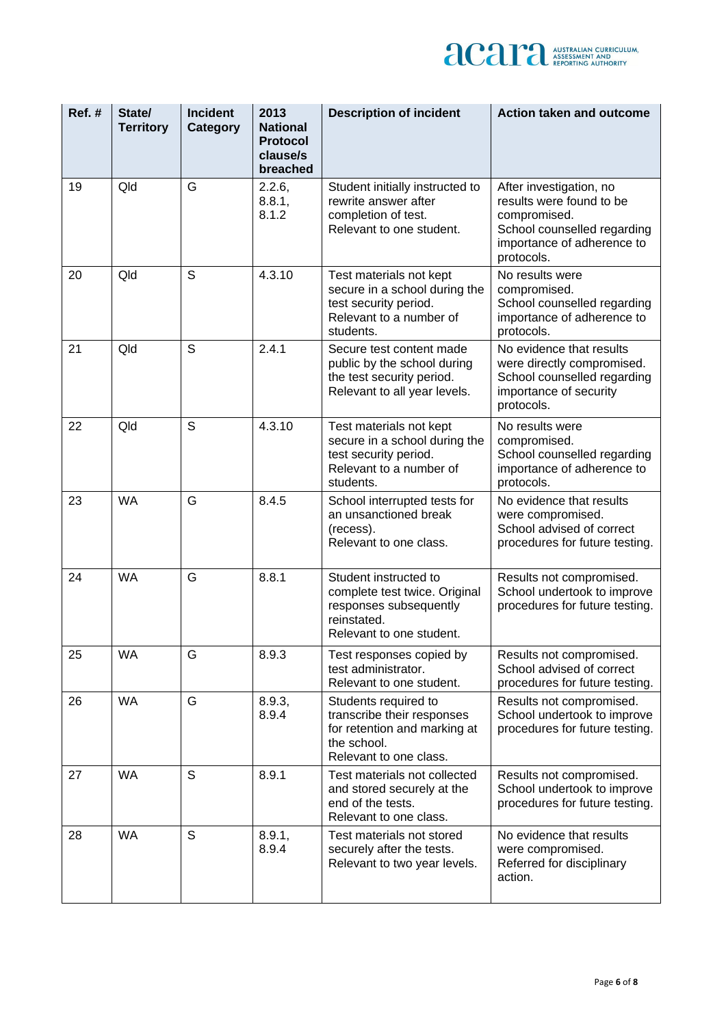

| Ref.# | State/<br><b>Territory</b> | <b>Incident</b><br>Category | 2013<br><b>National</b><br><b>Protocol</b><br>clause/s<br>breached | <b>Description of incident</b>                                                                                              | <b>Action taken and outcome</b>                                                                                                                |
|-------|----------------------------|-----------------------------|--------------------------------------------------------------------|-----------------------------------------------------------------------------------------------------------------------------|------------------------------------------------------------------------------------------------------------------------------------------------|
| 19    | Qld                        | G                           | 2.2.6,<br>8.8.1,<br>8.1.2                                          | Student initially instructed to<br>rewrite answer after<br>completion of test.<br>Relevant to one student.                  | After investigation, no<br>results were found to be<br>compromised.<br>School counselled regarding<br>importance of adherence to<br>protocols. |
| 20    | Qld                        | S                           | 4.3.10                                                             | Test materials not kept<br>secure in a school during the<br>test security period.<br>Relevant to a number of<br>students.   | No results were<br>compromised.<br>School counselled regarding<br>importance of adherence to<br>protocols.                                     |
| 21    | Qld                        | S                           | 2.4.1                                                              | Secure test content made<br>public by the school during<br>the test security period.<br>Relevant to all year levels.        | No evidence that results<br>were directly compromised.<br>School counselled regarding<br>importance of security<br>protocols.                  |
| 22    | Qld                        | S                           | 4.3.10                                                             | Test materials not kept<br>secure in a school during the<br>test security period.<br>Relevant to a number of<br>students.   | No results were<br>compromised.<br>School counselled regarding<br>importance of adherence to<br>protocols.                                     |
| 23    | <b>WA</b>                  | G                           | 8.4.5                                                              | School interrupted tests for<br>an unsanctioned break<br>(recess).<br>Relevant to one class.                                | No evidence that results<br>were compromised.<br>School advised of correct<br>procedures for future testing.                                   |
| 24    | <b>WA</b>                  | G                           | 8.8.1                                                              | Student instructed to<br>complete test twice. Original<br>responses subsequently<br>reinstated.<br>Relevant to one student. | Results not compromised.<br>School undertook to improve<br>procedures for future testing.                                                      |
| 25    | <b>WA</b>                  | G                           | 8.9.3                                                              | Test responses copied by<br>test administrator.<br>Relevant to one student.                                                 | Results not compromised.<br>School advised of correct<br>procedures for future testing.                                                        |
| 26    | <b>WA</b>                  | G                           | 8.9.3,<br>8.9.4                                                    | Students required to<br>transcribe their responses<br>for retention and marking at<br>the school.<br>Relevant to one class. | Results not compromised.<br>School undertook to improve<br>procedures for future testing.                                                      |
| 27    | <b>WA</b>                  | S                           | 8.9.1                                                              | Test materials not collected<br>and stored securely at the<br>end of the tests.<br>Relevant to one class.                   | Results not compromised.<br>School undertook to improve<br>procedures for future testing.                                                      |
| 28    | <b>WA</b>                  | S                           | 8.9.1,<br>8.9.4                                                    | Test materials not stored<br>securely after the tests.<br>Relevant to two year levels.                                      | No evidence that results<br>were compromised.<br>Referred for disciplinary<br>action.                                                          |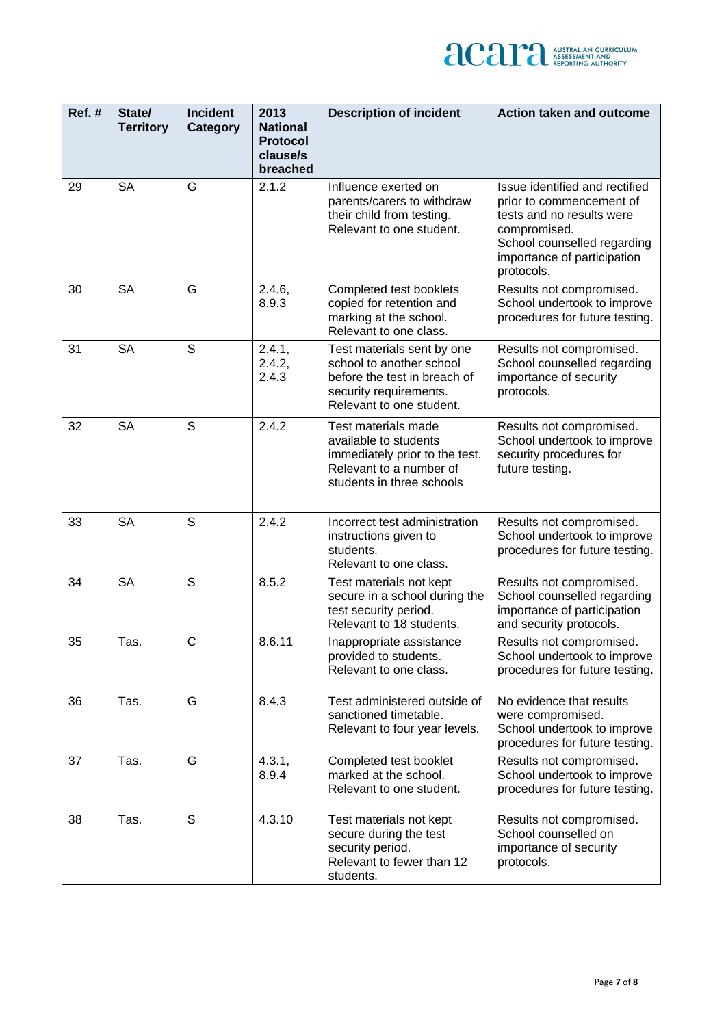

| Ref.# | State/<br><b>Territory</b> | <b>Incident</b><br><b>Category</b> | 2013<br><b>National</b><br><b>Protocol</b><br>clause/s<br>breached | <b>Description of incident</b>                                                                                                               | <b>Action taken and outcome</b>                                                                                                                                                     |
|-------|----------------------------|------------------------------------|--------------------------------------------------------------------|----------------------------------------------------------------------------------------------------------------------------------------------|-------------------------------------------------------------------------------------------------------------------------------------------------------------------------------------|
| 29    | <b>SA</b>                  | G                                  | 2.1.2                                                              | Influence exerted on<br>parents/carers to withdraw<br>their child from testing.<br>Relevant to one student.                                  | Issue identified and rectified<br>prior to commencement of<br>tests and no results were<br>compromised.<br>School counselled regarding<br>importance of participation<br>protocols. |
| 30    | <b>SA</b>                  | G                                  | 2.4.6,<br>8.9.3                                                    | Completed test booklets<br>copied for retention and<br>marking at the school.<br>Relevant to one class.                                      | Results not compromised.<br>School undertook to improve<br>procedures for future testing.                                                                                           |
| 31    | <b>SA</b>                  | S                                  | 2.4.1,<br>2.4.2,<br>2.4.3                                          | Test materials sent by one<br>school to another school<br>before the test in breach of<br>security requirements.<br>Relevant to one student. | Results not compromised.<br>School counselled regarding<br>importance of security<br>protocols.                                                                                     |
| 32    | <b>SA</b>                  | S                                  | 2.4.2                                                              | Test materials made<br>available to students<br>immediately prior to the test.<br>Relevant to a number of<br>students in three schools       | Results not compromised.<br>School undertook to improve<br>security procedures for<br>future testing.                                                                               |
| 33    | <b>SA</b>                  | S                                  | 2.4.2                                                              | Incorrect test administration<br>instructions given to<br>students.<br>Relevant to one class.                                                | Results not compromised.<br>School undertook to improve<br>procedures for future testing.                                                                                           |
| 34    | <b>SA</b>                  | S                                  | 8.5.2                                                              | Test materials not kept<br>secure in a school during the<br>test security period.<br>Relevant to 18 students.                                | Results not compromised.<br>School counselled regarding<br>importance of participation<br>and security protocols.                                                                   |
| 35    | Tas.                       | $\mathsf{C}$                       | 8.6.11                                                             | Inappropriate assistance<br>provided to students.<br>Relevant to one class.                                                                  | Results not compromised.<br>School undertook to improve<br>procedures for future testing.                                                                                           |
| 36    | Tas.                       | G                                  | 8.4.3                                                              | Test administered outside of<br>sanctioned timetable.<br>Relevant to four year levels.                                                       | No evidence that results<br>were compromised.<br>School undertook to improve<br>procedures for future testing.                                                                      |
| 37    | Tas.                       | G                                  | 4.3.1,<br>8.9.4                                                    | Completed test booklet<br>marked at the school.<br>Relevant to one student.                                                                  | Results not compromised.<br>School undertook to improve<br>procedures for future testing.                                                                                           |
| 38    | Tas.                       | S                                  | 4.3.10                                                             | Test materials not kept<br>secure during the test<br>security period.<br>Relevant to fewer than 12<br>students.                              | Results not compromised.<br>School counselled on<br>importance of security<br>protocols.                                                                                            |